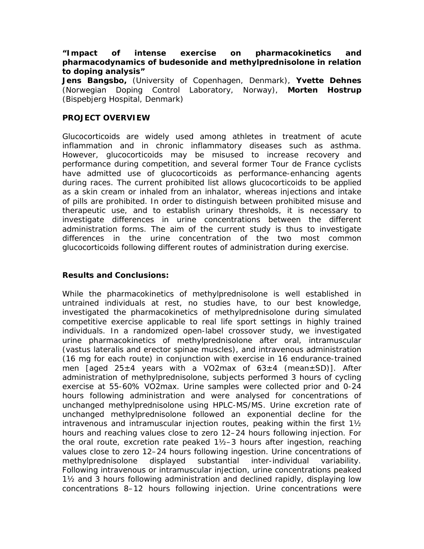## *"***Impact of intense exercise on pharmacokinetics and pharmacodynamics of budesonide and methylprednisolone in relation to doping analysis"**

**Jens Bangsbo,** (University of Copenhagen, Denmark), **Yvette Dehnes**  (Norwegian Doping Control Laboratory, Norway), **Morten Hostrup**  (Bispebjerg Hospital, Denmark)

## **PROJECT OVERVIEW**

Glucocorticoids are widely used among athletes in treatment of acute inflammation and in chronic inflammatory diseases such as asthma. However, glucocorticoids may be misused to increase recovery and performance during competition, and several former Tour de France cyclists have admitted use of glucocorticoids as performance-enhancing agents during races. The current prohibited list allows glucocorticoids to be applied as a skin cream or inhaled from an inhalator, whereas injections and intake of pills are prohibited. In order to distinguish between prohibited misuse and therapeutic use, and to establish urinary thresholds, it is necessary to investigate differences in urine concentrations between the different administration forms. The aim of the current study is thus to investigate differences in the urine concentration of the two most common glucocorticoids following different routes of administration during exercise.

## **Results and Conclusions:**

While the pharmacokinetics of methylprednisolone is well established in untrained individuals at rest, no studies have, to our best knowledge, investigated the pharmacokinetics of methylprednisolone during simulated competitive exercise applicable to real life sport settings in highly trained individuals. In a randomized open-label crossover study, we investigated urine pharmacokinetics of methylprednisolone after oral, intramuscular (vastus lateralis and erector spinae muscles), and intravenous administration (16 mg for each route) in conjunction with exercise in 16 endurance-trained men [aged  $25\pm4$  years with a VO2max of  $63\pm4$  (mean $\pm$ SD)]. After administration of methylprednisolone, subjects performed 3 hours of cycling exercise at 55-60% VO2max. Urine samples were collected prior and 0-24 hours following administration and were analysed for concentrations of unchanged methylprednisolone using HPLC-MS/MS. Urine excretion rate of unchanged methylprednisolone followed an exponential decline for the intravenous and intramuscular injection routes, peaking within the first 1½ hours and reaching values close to zero 12–24 hours following injection. For the oral route, excretion rate peaked 1½–3 hours after ingestion, reaching values close to zero 12–24 hours following ingestion. Urine concentrations of methylprednisolone displayed substantial inter-individual variability. Following intravenous or intramuscular injection, urine concentrations peaked 1½ and 3 hours following administration and declined rapidly, displaying low concentrations 8–12 hours following injection. Urine concentrations were